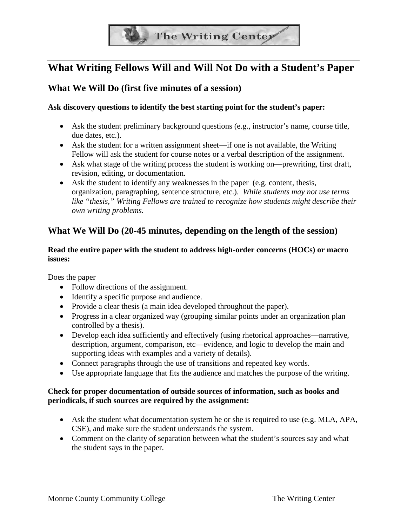

# **What Writing Fellows Will and Will Not Do with a Student's Paper**

# **What We Will Do (first five minutes of a session)**

#### **Ask discovery questions to identify the best starting point for the student's paper:**

- Ask the student preliminary background questions (e.g., instructor's name, course title, due dates, etc.).
- Ask the student for a written assignment sheet—if one is not available, the Writing Fellow will ask the student for course notes or a verbal description of the assignment.
- Ask what stage of the writing process the student is working on—prewriting, first draft, revision, editing, or documentation.
- Ask the student to identify any weaknesses in the paper (e.g. content, thesis, organization, paragraphing, sentence structure, etc.). *While students may not use terms like "thesis," Writing Fellows are trained to recognize how students might describe their own writing problems.*

# **What We Will Do (20-45 minutes, depending on the length of the session)**

#### **Read the entire paper with the student to address high-order concerns (HOCs) or macro issues:**

Does the paper

- Follow directions of the assignment.
- Identify a specific purpose and audience.
- Provide a clear thesis (a main idea developed throughout the paper).
- Progress in a clear organized way (grouping similar points under an organization plan controlled by a thesis).
- Develop each idea sufficiently and effectively (using rhetorical approaches—narrative, description, argument, comparison, etc—evidence, and logic to develop the main and supporting ideas with examples and a variety of details).
- Connect paragraphs through the use of transitions and repeated key words.
- Use appropriate language that fits the audience and matches the purpose of the writing.

#### **Check for proper documentation of outside sources of information, such as books and periodicals, if such sources are required by the assignment:**

- Ask the student what documentation system he or she is required to use (e.g. MLA, APA, CSE), and make sure the student understands the system.
- Comment on the clarity of separation between what the student's sources say and what the student says in the paper.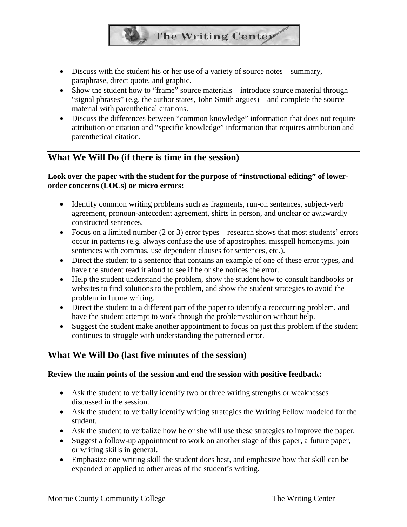• Discuss with the student his or her use of a variety of source notes—summary, paraphrase, direct quote, and graphic.

• Show the student how to "frame" source materials—introduce source material through "signal phrases" (e.g. the author states, John Smith argues)—and complete the source material with parenthetical citations.

**The Writing Center** 

• Discuss the differences between "common knowledge" information that does not require attribution or citation and "specific knowledge" information that requires attribution and parenthetical citation.

### **What We Will Do (if there is time in the session)**

### Look over the paper with the student for the purpose of "instructional editing" of lower**order concerns (LOCs) or micro errors:**

- Identify common writing problems such as fragments, run-on sentences, subject-verb agreement, pronoun-antecedent agreement, shifts in person, and unclear or awkwardly constructed sentences.
- Focus on a limited number (2 or 3) error types—research shows that most students' errors occur in patterns (e.g. always confuse the use of apostrophes, misspell homonyms, join sentences with commas, use dependent clauses for sentences, etc.).
- Direct the student to a sentence that contains an example of one of these error types, and have the student read it aloud to see if he or she notices the error.
- Help the student understand the problem, show the student how to consult handbooks or websites to find solutions to the problem, and show the student strategies to avoid the problem in future writing.
- Direct the student to a different part of the paper to identify a reoccurring problem, and have the student attempt to work through the problem/solution without help.
- Suggest the student make another appointment to focus on just this problem if the student continues to struggle with understanding the patterned error.

# **What We Will Do (last five minutes of the session)**

### **Review the main points of the session and end the session with positive feedback:**

- Ask the student to verbally identify two or three writing strengths or weaknesses discussed in the session.
- Ask the student to verbally identify writing strategies the Writing Fellow modeled for the student.
- Ask the student to verbalize how he or she will use these strategies to improve the paper.
- Suggest a follow-up appointment to work on another stage of this paper, a future paper, or writing skills in general.
- Emphasize one writing skill the student does best, and emphasize how that skill can be expanded or applied to other areas of the student's writing.